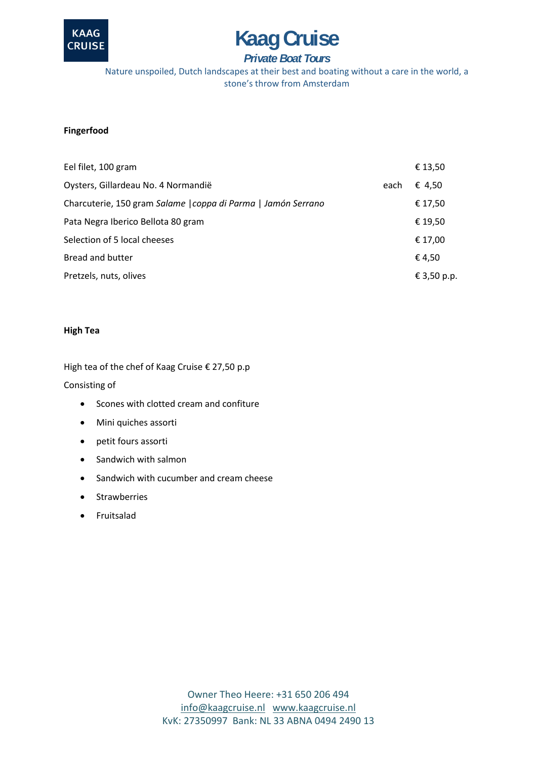

## **Fingerfood**

| <b>KAAG</b><br><b>CRUISE</b> | <b>Kaag Cruise</b>                                                                                                                                    |      |             |
|------------------------------|-------------------------------------------------------------------------------------------------------------------------------------------------------|------|-------------|
|                              | <b>Private Boat Tours</b><br>Nature unspoiled, Dutch landscapes at their best and boating without a care in the world<br>stone's throw from Amsterdam |      |             |
| Fingerfood                   |                                                                                                                                                       |      |             |
|                              | Eel filet, 100 gram                                                                                                                                   |      | € 13,50     |
|                              | Oysters, Gillardeau No. 4 Normandië                                                                                                                   | each | € 4,50      |
|                              | Charcuterie, 150 gram Salame   coppa di Parma   Jamón Serrano                                                                                         |      | € 17,50     |
|                              | Pata Negra Iberico Bellota 80 gram                                                                                                                    |      | € 19,50     |
|                              | Selection of 5 local cheeses                                                                                                                          |      | € 17,00     |
|                              | Bread and butter                                                                                                                                      |      | €4,50       |
|                              | Pretzels, nuts, olives                                                                                                                                |      | € 3,50 p.p. |
| <b>High Tea</b>              |                                                                                                                                                       |      |             |
|                              | High tea of the chef of Kaag Cruise € 27,50 p.p                                                                                                       |      |             |
| Consisting of                |                                                                                                                                                       |      |             |
|                              | Scones with clotted cream and confiture                                                                                                               |      |             |
| ٠                            | Mini quiches assorti                                                                                                                                  |      |             |
| ٠                            | petit fours assorti                                                                                                                                   |      |             |
|                              | Sandwich with salmon                                                                                                                                  |      |             |
|                              | Sandwich with cucumber and cream cheese                                                                                                               |      |             |
|                              | <b>Strawberries</b>                                                                                                                                   |      |             |
|                              | Fruitsalad                                                                                                                                            |      |             |
|                              |                                                                                                                                                       |      |             |
|                              |                                                                                                                                                       |      |             |
|                              |                                                                                                                                                       |      |             |
|                              |                                                                                                                                                       |      |             |
|                              |                                                                                                                                                       |      |             |
|                              |                                                                                                                                                       |      |             |
|                              |                                                                                                                                                       |      |             |
|                              |                                                                                                                                                       |      |             |
|                              | Owner Theo Heere: +31 650 206 494                                                                                                                     |      |             |
|                              | info@kaagcruise.nl www.kaagcruise.nl                                                                                                                  |      |             |
|                              | KvK: 27350997 Bank: NL 33 ABNA 0494 2490 13                                                                                                           |      |             |

## **High Tea**

- Scones with clotted cream and confiture
- Mini quiches assorti
- petit fours assorti
- Sandwich with salmon
- Sandwich with cucumber and cream cheese
- Strawberries
- Fruitsalad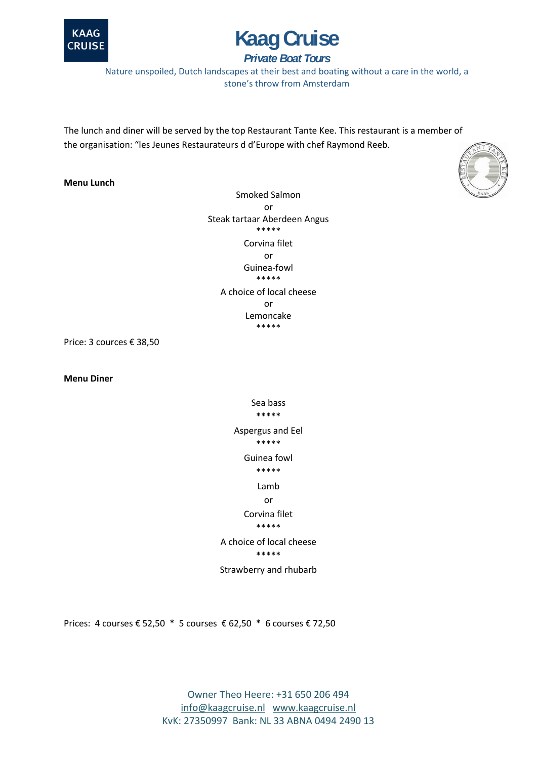



Nature unspoiled, Dutch landscapes at their best and boating without a care in the world, a stone's throw from Amsterdam

The lunch and diner will be served by the top Restaurant Tante Kee. This restaurant is a member of the organisation: "les Jeunes Restaurateurs d d'Europe with chef Raymond Reeb.

### **Menu Lunch**

**Kaag Cruise**<br>
Private Boat Tours<br>
led, Dutch landscapes at their best and boating witho<br>
stone's throw from Amsterdam<br>
be served by the top Restaurant Tante Kee. This rest<br>
mes Restaurateurs d d'Europe with chef Raymond Smoked Salmon or Steak tartaar Aberdeen Angus \*\*\*\*\* Corvina filet or Guinea-fowl \*\*\*\*\* A choice of local cheese or Lemoncake \*\*\*\*\*

Price: 3 cources € 38,50

**Menu Diner**

Sea bass \*\*\*\*\* Aspergus and Eel \*\*\*\*\* Guinea fowl \*\*\*\*\* Lamb or Corvina filet \*\*\*\*\* A choice of local cheese

\*\*\*\*\*

Strawberry and rhubarb

Prices: 4 courses € 52,50 \* 5 courses € 62,50 \* 6 courses € 72,50

Owner Theo Heere: +31 650 206 494 [info@kaagcruise.nl](mailto:info@kaagcruise.nl) [www.kaagcruise.nl](http://www.kaagcruise.nl/)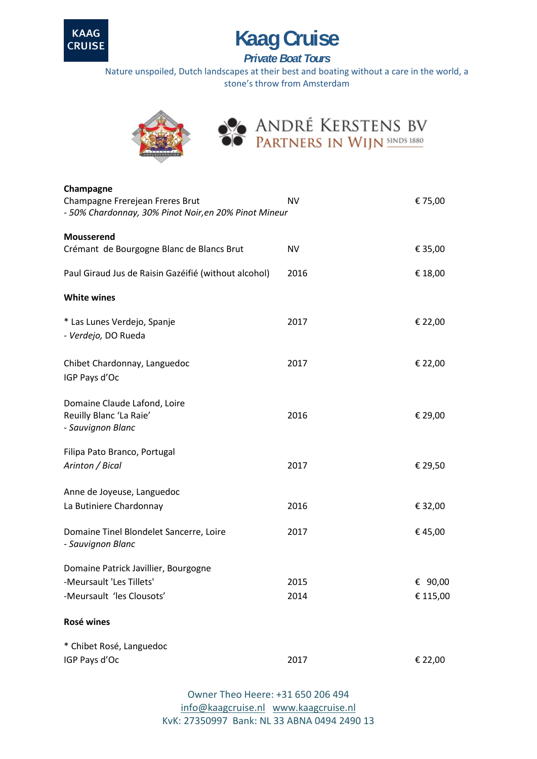

Nature unspoiled, Dutch landscapes at their best and boating without a care in the world, a stone's throw from Amsterdam



| <b>KAAG</b><br><b>Kaag Cruise</b><br><b>CRUISE</b><br><b>Private Boat Tours</b>                       |                                                                                                                          |                     |  |  |
|-------------------------------------------------------------------------------------------------------|--------------------------------------------------------------------------------------------------------------------------|---------------------|--|--|
|                                                                                                       | Nature unspoiled, Dutch landscapes at their best and boating without a care in the wor<br>stone's throw from Amsterdam   |                     |  |  |
|                                                                                                       | ANDRÉ KERSTENS BV<br>PARTNERS IN WIJN SINDS 1880                                                                         |                     |  |  |
| Champagne<br>Champagne Frerejean Freres Brut<br>- 50% Chardonnay, 30% Pinot Noir, en 20% Pinot Mineur | <b>NV</b>                                                                                                                | € 75,00             |  |  |
| Mousserend<br>Crémant de Bourgogne Blanc de Blancs Brut                                               | <b>NV</b>                                                                                                                | € 35,00             |  |  |
| Paul Giraud Jus de Raisin Gazéifié (without alcohol)                                                  | 2016                                                                                                                     | € 18,00             |  |  |
| <b>White wines</b>                                                                                    |                                                                                                                          |                     |  |  |
| * Las Lunes Verdejo, Spanje<br>- Verdejo, DO Rueda                                                    | 2017                                                                                                                     | € 22,00             |  |  |
| Chibet Chardonnay, Languedoc<br>IGP Pays d'Oc                                                         | 2017                                                                                                                     | € 22,00             |  |  |
| Domaine Claude Lafond, Loire<br>Reuilly Blanc 'La Raie'<br>- Sauvignon Blanc                          | 2016                                                                                                                     | € 29,00             |  |  |
| Filipa Pato Branco, Portugal<br>Arinton / Bical                                                       | 2017                                                                                                                     | € 29,50             |  |  |
| Anne de Joyeuse, Languedoc<br>La Butiniere Chardonnay                                                 | 2016                                                                                                                     | € 32,00             |  |  |
| Domaine Tinel Blondelet Sancerre, Loire<br>- Sauvignon Blanc                                          | 2017                                                                                                                     | €45,00              |  |  |
| Domaine Patrick Javillier, Bourgogne<br>-Meursault 'Les Tillets'<br>-Meursault 'les Clousots'         | 2015<br>2014                                                                                                             | € 90,00<br>€ 115,00 |  |  |
| Rosé wines                                                                                            |                                                                                                                          |                     |  |  |
|                                                                                                       |                                                                                                                          |                     |  |  |
| * Chibet Rosé, Languedoc<br>IGP Pays d'Oc                                                             | 2017                                                                                                                     | € 22,00             |  |  |
|                                                                                                       | Owner Theo Heere: +31 650 206 494<br>info@kaagcruise.nl www.kaagcruise.nl<br>KvK: 27350997 Bank: NL 33 ABNA 0494 2490 13 |                     |  |  |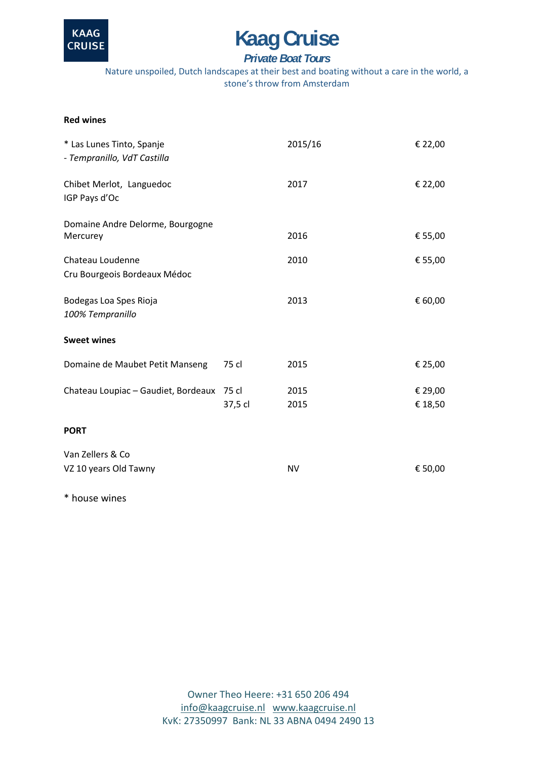

Nature unspoiled, Dutch landscapes at their best and boating without a care in the world, a stone's throw from Amsterdam

### **Red wines**

| <b>KAAG</b><br><b>CRUISE</b>                                                           | <b>Kaag Cruise</b><br><b>Private Boat Tours</b> |                                                                                                                          |                    |
|----------------------------------------------------------------------------------------|-------------------------------------------------|--------------------------------------------------------------------------------------------------------------------------|--------------------|
| Nature unspoiled, Dutch landscapes at their best and boating without a care in the wor |                                                 | stone's throw from Amsterdam                                                                                             |                    |
| <b>Red wines</b>                                                                       |                                                 |                                                                                                                          |                    |
| * Las Lunes Tinto, Spanje<br>- Tempranillo, VdT Castilla                               |                                                 | 2015/16                                                                                                                  | € 22,00            |
| Chibet Merlot, Languedoc<br>IGP Pays d'Oc                                              |                                                 | 2017                                                                                                                     | € 22,00            |
| Domaine Andre Delorme, Bourgogne<br>Mercurey                                           |                                                 | 2016                                                                                                                     | € 55,00            |
| Chateau Loudenne<br>Cru Bourgeois Bordeaux Médoc                                       |                                                 | 2010                                                                                                                     | € 55,00            |
| Bodegas Loa Spes Rioja<br>100% Tempranillo                                             |                                                 | 2013                                                                                                                     | € 60,00            |
| <b>Sweet wines</b>                                                                     |                                                 |                                                                                                                          |                    |
| Domaine de Maubet Petit Manseng                                                        | 75 cl                                           | 2015                                                                                                                     | € 25,00            |
| Chateau Loupiac - Gaudiet, Bordeaux 75 cl                                              | 37,5 cl                                         | 2015<br>2015                                                                                                             | € 29,00<br>€ 18,50 |
| <b>PORT</b>                                                                            |                                                 |                                                                                                                          |                    |
| Van Zellers & Co<br>VZ 10 years Old Tawny                                              |                                                 | <b>NV</b>                                                                                                                | € 50,00            |
| * house wines                                                                          |                                                 |                                                                                                                          |                    |
|                                                                                        |                                                 |                                                                                                                          |                    |
|                                                                                        |                                                 |                                                                                                                          |                    |
|                                                                                        |                                                 |                                                                                                                          |                    |
|                                                                                        |                                                 |                                                                                                                          |                    |
|                                                                                        |                                                 |                                                                                                                          |                    |
|                                                                                        |                                                 | Owner Theo Heere: +31 650 206 494<br>info@kaagcruise.nl www.kaagcruise.nl<br>KvK: 27350997 Bank: NL 33 ABNA 0494 2490 13 |                    |